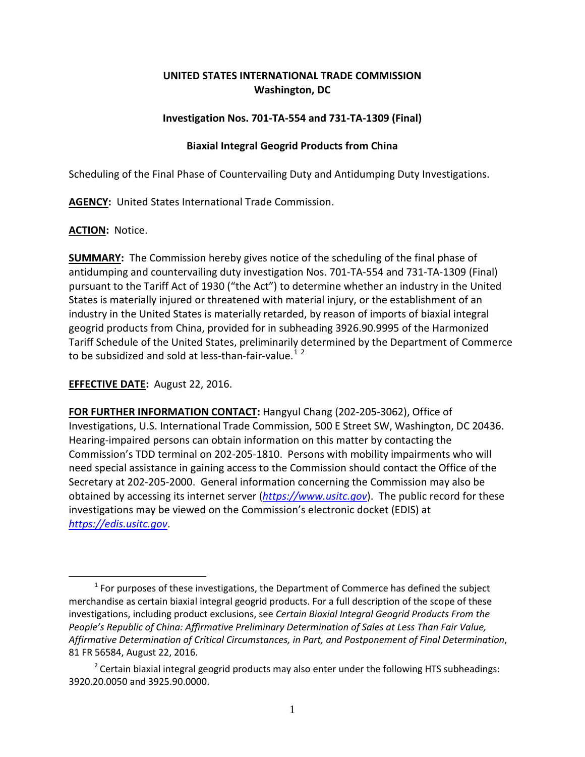## **UNITED STATES INTERNATIONAL TRADE COMMISSION Washington, DC**

### **Investigation Nos. 701-TA-554 and 731-TA-1309 (Final)**

### **Biaxial Integral Geogrid Products from China**

Scheduling of the Final Phase of Countervailing Duty and Antidumping Duty Investigations.

**AGENCY:** United States International Trade Commission.

### **ACTION:** Notice.

 $\overline{a}$ 

**SUMMARY:** The Commission hereby gives notice of the scheduling of the final phase of antidumping and countervailing duty investigation Nos. 701-TA-554 and 731-TA-1309 (Final) pursuant to the Tariff Act of 1930 ("the Act") to determine whether an industry in the United States is materially injured or threatened with material injury, or the establishment of an industry in the United States is materially retarded, by reason of imports of biaxial integral geogrid products from China, provided for in subheading 3926.90.9995 of the Harmonized Tariff Schedule of the United States, preliminarily determined by the Department of Commerce to be subsidized and sold at less-than-fair-value.<sup>[1](#page-0-0)[2](#page-0-1)</sup>

# **EFFECTIVE DATE:** August 22, 2016.

**FOR FURTHER INFORMATION CONTACT:** Hangyul Chang (202-205-3062), Office of Investigations, U.S. International Trade Commission, 500 E Street SW, Washington, DC 20436. Hearing-impaired persons can obtain information on this matter by contacting the Commission's TDD terminal on 202-205-1810. Persons with mobility impairments who will need special assistance in gaining access to the Commission should contact the Office of the Secretary at 202-205-2000. General information concerning the Commission may also be obtained by accessing its internet server (*[https://www.usitc.gov](https://www.usitc.gov/)*). The public record for these investigations may be viewed on the Commission's electronic docket (EDIS) at *[https://edis.usitc.gov](https://edis.usitc.gov/)*.

<span id="page-0-0"></span> $1$  For purposes of these investigations, the Department of Commerce has defined the subject merchandise as certain biaxial integral geogrid products. For a full description of the scope of these investigations, including product exclusions, see *Certain Biaxial Integral Geogrid Products From the People's Republic of China: Affirmative Preliminary Determination of Sales at Less Than Fair Value, Affirmative Determination of Critical Circumstances, in Part, and Postponement of Final Determination*, 81 FR 56584, August 22, 2016.

<span id="page-0-1"></span> $2$  Certain biaxial integral geogrid products may also enter under the following HTS subheadings: 3920.20.0050 and 3925.90.0000.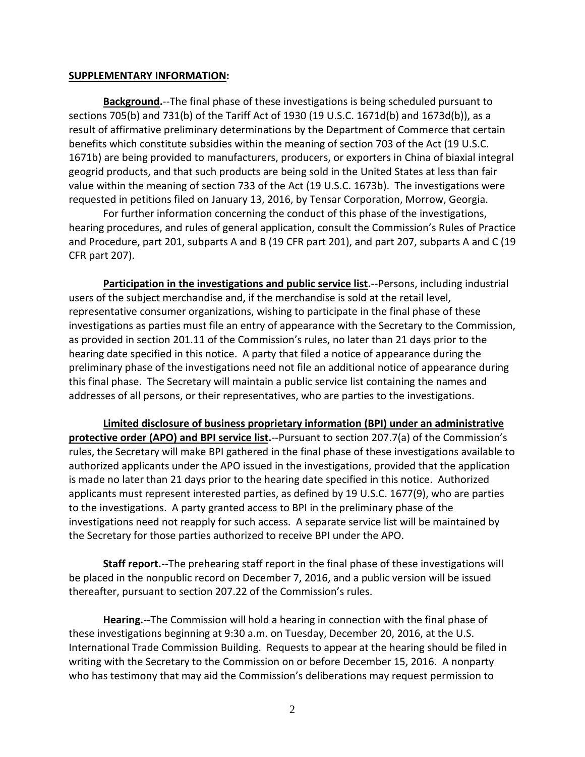#### **SUPPLEMENTARY INFORMATION:**

**Background.**--The final phase of these investigations is being scheduled pursuant to sections 705(b) and 731(b) of the Tariff Act of 1930 (19 U.S.C. 1671d(b) and 1673d(b)), as a result of affirmative preliminary determinations by the Department of Commerce that certain benefits which constitute subsidies within the meaning of section 703 of the Act (19 U.S.C. 1671b) are being provided to manufacturers, producers, or exporters in China of biaxial integral geogrid products, and that such products are being sold in the United States at less than fair value within the meaning of section 733 of the Act (19 U.S.C. 1673b). The investigations were requested in petitions filed on January 13, 2016, by Tensar Corporation, Morrow, Georgia.

For further information concerning the conduct of this phase of the investigations, hearing procedures, and rules of general application, consult the Commission's Rules of Practice and Procedure, part 201, subparts A and B (19 CFR part 201), and part 207, subparts A and C (19 CFR part 207).

**Participation in the investigations and public service list.**--Persons, including industrial users of the subject merchandise and, if the merchandise is sold at the retail level, representative consumer organizations, wishing to participate in the final phase of these investigations as parties must file an entry of appearance with the Secretary to the Commission, as provided in section 201.11 of the Commission's rules, no later than 21 days prior to the hearing date specified in this notice. A party that filed a notice of appearance during the preliminary phase of the investigations need not file an additional notice of appearance during this final phase. The Secretary will maintain a public service list containing the names and addresses of all persons, or their representatives, who are parties to the investigations.

**Limited disclosure of business proprietary information (BPI) under an administrative protective order (APO) and BPI service list.**--Pursuant to section 207.7(a) of the Commission's rules, the Secretary will make BPI gathered in the final phase of these investigations available to authorized applicants under the APO issued in the investigations, provided that the application is made no later than 21 days prior to the hearing date specified in this notice. Authorized applicants must represent interested parties, as defined by 19 U.S.C. 1677(9), who are parties to the investigations. A party granted access to BPI in the preliminary phase of the investigations need not reapply for such access. A separate service list will be maintained by the Secretary for those parties authorized to receive BPI under the APO.

**Staff report.**--The prehearing staff report in the final phase of these investigations will be placed in the nonpublic record on December 7, 2016, and a public version will be issued thereafter, pursuant to section 207.22 of the Commission's rules.

**Hearing.**--The Commission will hold a hearing in connection with the final phase of these investigations beginning at 9:30 a.m. on Tuesday, December 20, 2016, at the U.S. International Trade Commission Building. Requests to appear at the hearing should be filed in writing with the Secretary to the Commission on or before December 15, 2016. A nonparty who has testimony that may aid the Commission's deliberations may request permission to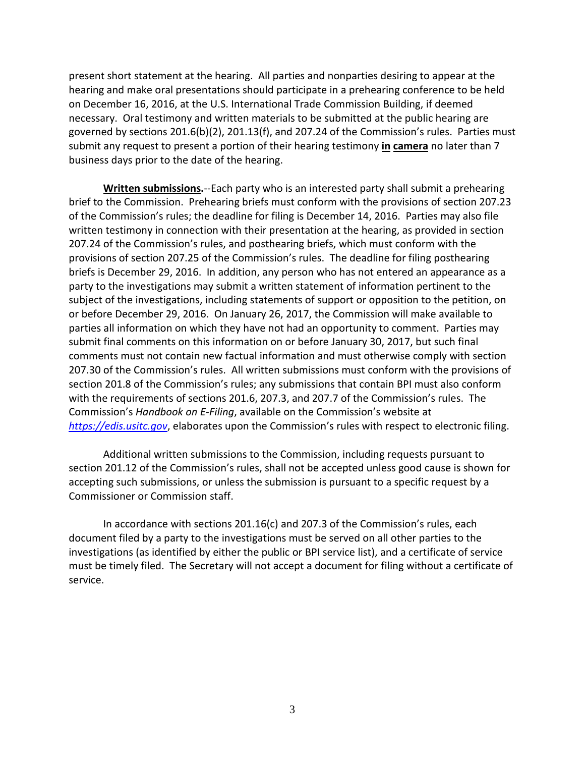present short statement at the hearing. All parties and nonparties desiring to appear at the hearing and make oral presentations should participate in a prehearing conference to be held on December 16, 2016, at the U.S. International Trade Commission Building, if deemed necessary. Oral testimony and written materials to be submitted at the public hearing are governed by sections 201.6(b)(2), 201.13(f), and 207.24 of the Commission's rules. Parties must submit any request to present a portion of their hearing testimony **in camera** no later than 7 business days prior to the date of the hearing.

**Written submissions.**--Each party who is an interested party shall submit a prehearing brief to the Commission. Prehearing briefs must conform with the provisions of section 207.23 of the Commission's rules; the deadline for filing is December 14, 2016. Parties may also file written testimony in connection with their presentation at the hearing, as provided in section 207.24 of the Commission's rules, and posthearing briefs, which must conform with the provisions of section 207.25 of the Commission's rules. The deadline for filing posthearing briefs is December 29, 2016. In addition, any person who has not entered an appearance as a party to the investigations may submit a written statement of information pertinent to the subject of the investigations, including statements of support or opposition to the petition, on or before December 29, 2016. On January 26, 2017, the Commission will make available to parties all information on which they have not had an opportunity to comment. Parties may submit final comments on this information on or before January 30, 2017, but such final comments must not contain new factual information and must otherwise comply with section 207.30 of the Commission's rules. All written submissions must conform with the provisions of section 201.8 of the Commission's rules; any submissions that contain BPI must also conform with the requirements of sections 201.6, 207.3, and 207.7 of the Commission's rules. The Commission's *Handbook on E-Filing*, available on the Commission's website at *[https://edis.usitc.gov](https://edis.usitc.gov/)*, elaborates upon the Commission's rules with respect to electronic filing.

Additional written submissions to the Commission, including requests pursuant to section 201.12 of the Commission's rules, shall not be accepted unless good cause is shown for accepting such submissions, or unless the submission is pursuant to a specific request by a Commissioner or Commission staff.

In accordance with sections 201.16(c) and 207.3 of the Commission's rules, each document filed by a party to the investigations must be served on all other parties to the investigations (as identified by either the public or BPI service list), and a certificate of service must be timely filed. The Secretary will not accept a document for filing without a certificate of service.